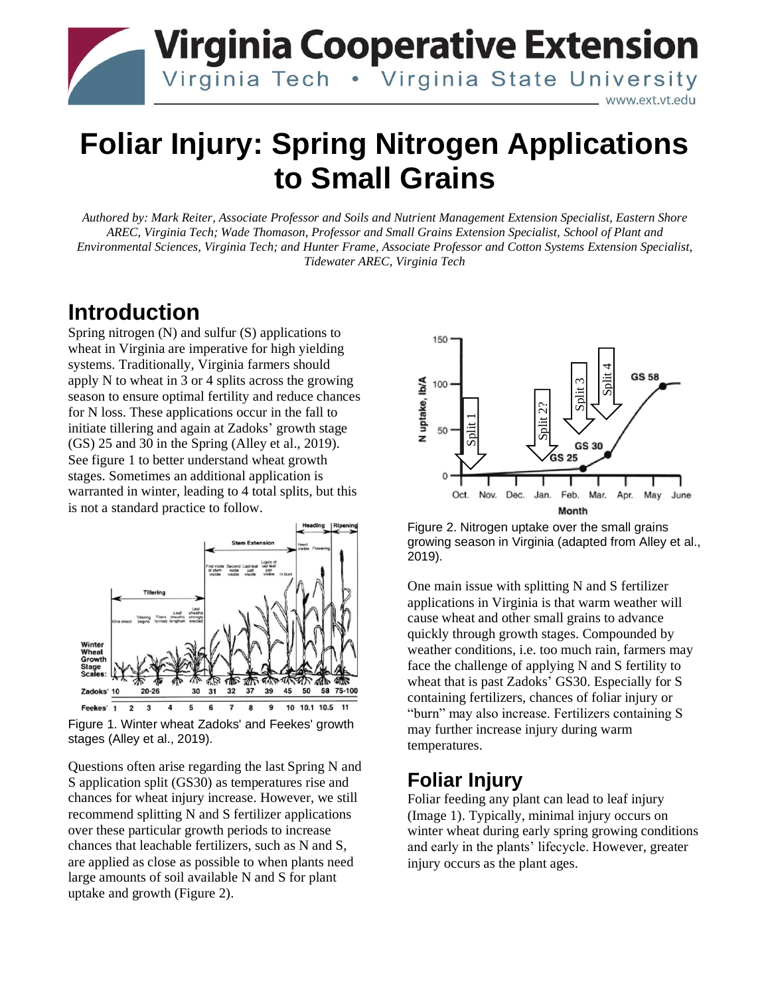

# **Foliar Injury: Spring Nitrogen Applications to Small Grains**

*Authored by: Mark Reiter, Associate Professor and Soils and Nutrient Management Extension Specialist, Eastern Shore AREC, Virginia Tech; Wade Thomason, Professor and Small Grains Extension Specialist, School of Plant and Environmental Sciences, Virginia Tech; and Hunter Frame, Associate Professor and Cotton Systems Extension Specialist, Tidewater AREC, Virginia Tech*

# **Introduction**

Spring nitrogen (N) and sulfur (S) applications to wheat in Virginia are imperative for high yielding systems. Traditionally, Virginia farmers should apply N to wheat in 3 or 4 splits across the growing season to ensure optimal fertility and reduce chances for N loss. These applications occur in the fall to initiate tillering and again at Zadoks' growth stage (GS) 25 and 30 in the Spring (Alley et al., 2019). See figure 1 to better understand wheat growth stages. Sometimes an additional application is warranted in winter, leading to 4 total splits, but this is not a standard practice to follow.



Figure 1. Winter wheat Zadoks' and Feekes' growth stages (Alley et al., 2019).

Questions often arise regarding the last Spring N and S application split (GS30) as temperatures rise and chances for wheat injury increase. However, we still recommend splitting N and S fertilizer applications over these particular growth periods to increase chances that leachable fertilizers, such as N and S, are applied as close as possible to when plants need large amounts of soil available N and S for plant uptake and growth (Figure 2).



Figure 2. Nitrogen uptake over the small grains growing season in Virginia (adapted from Alley et al., 2019).

One main issue with splitting N and S fertilizer applications in Virginia is that warm weather will cause wheat and other small grains to advance quickly through growth stages. Compounded by weather conditions, i.e. too much rain, farmers may face the challenge of applying N and S fertility to wheat that is past Zadoks' GS30. Especially for S containing fertilizers, chances of foliar injury or "burn" may also increase. Fertilizers containing S may further increase injury during warm temperatures. **Example 1**<br> **Example 1**<br> **Example 1**<br> **Example 1**<br> **Example 2.** Nitrogen uptake over the growing season in Virginia (adap<br>
2019).<br>
One main issue with splitting N applications in Virginia is that w<br>
cause wheat and other

### **Foliar Injury**

Foliar feeding any plant can lead to leaf injury (Image 1). Typically, minimal injury occurs on winter wheat during early spring growing conditions and early in the plants' lifecycle. However, greater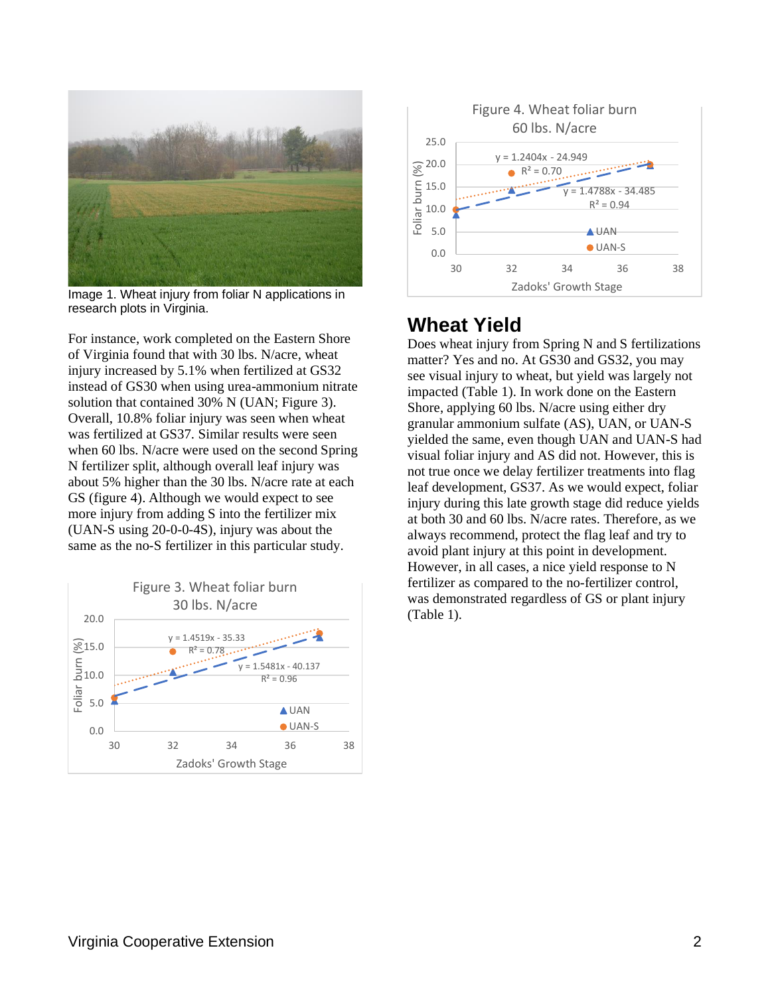

Image 1. Wheat injury from foliar N applications in research plots in Virginia.

For instance, work completed on the Eastern Shore of Virginia found that with 30 lbs. N/acre, wheat injury increased by 5.1% when fertilized at GS32 instead of GS30 when using urea-ammonium nitrate solution that contained 30% N (UAN; Figure 3). Overall, 10.8% foliar injury was seen when wheat was fertilized at GS37. Similar results were seen when 60 lbs. N/acre were used on the second Spring N fertilizer split, although overall leaf injury was about 5% higher than the 30 lbs. N/acre rate at each GS (figure 4). Although we would expect to see more injury from adding S into the fertilizer mix (UAN-S using 20-0-0-4S), injury was about the same as the no-S fertilizer in this particular study.





### **Wheat Yield**

Does wheat injury from Spring N and S fertilizations matter? Yes and no. At GS30 and GS32, you may see visual injury to wheat, but yield was largely not impacted (Table 1). In work done on the Eastern Shore, applying 60 lbs. N/acre using either dry granular ammonium sulfate (AS), UAN, or UAN-S yielded the same, even though UAN and UAN-S had visual foliar injury and AS did not. However, this is not true once we delay fertilizer treatments into flag leaf development, GS37. As we would expect, foliar injury during this late growth stage did reduce yields at both 30 and 60 lbs. N/acre rates. Therefore, as we always recommend, protect the flag leaf and try to avoid plant injury at this point in development. However, in all cases, a nice yield response to N fertilizer as compared to the no-fertilizer control, was demonstrated regardless of GS or plant injury (Table 1).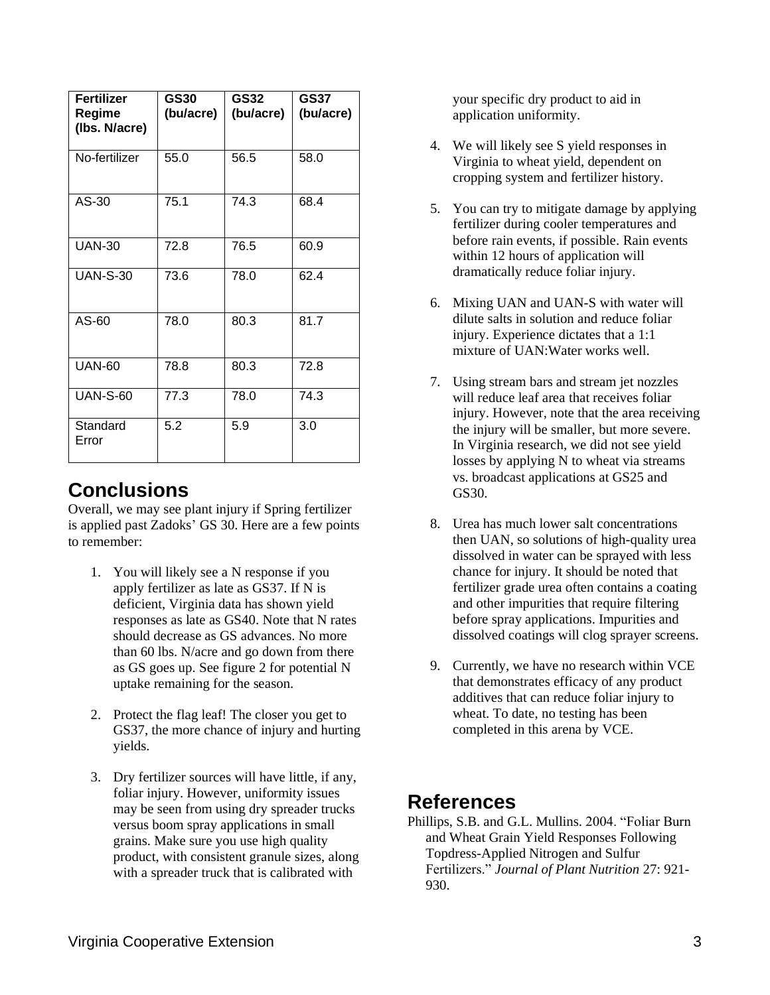| <b>Fertilizer</b><br>Regime<br>(Ibs. N/acre) | <b>GS30</b><br>(bu/acre) | <b>GS32</b><br>(bu/acre) | <b>GS37</b><br>(bu/acre) |
|----------------------------------------------|--------------------------|--------------------------|--------------------------|
| No-fertilizer                                | 55.0                     | 56.5                     | 58.0                     |
| AS-30                                        | 75.1                     | 74.3                     | 68.4                     |
| <b>UAN-30</b>                                | 72.8                     | 76.5                     | 60.9                     |
| <b>UAN-S-30</b>                              | 73.6                     | 78.0                     | 62.4                     |
| AS-60                                        | 78.0                     | 80.3                     | 81.7                     |
| <b>UAN-60</b>                                | 78.8                     | 80.3                     | 72.8                     |
| <b>UAN-S-60</b>                              | 77.3                     | 78.0                     | 74.3                     |
| Standard<br>Error                            | 5.2                      | 5.9                      | 3.0                      |

# **Conclusions**

Overall, we may see plant injury if Spring fertilizer is applied past Zadoks' GS 30. Here are a few points to remember:

- 1. You will likely see a N response if you apply fertilizer as late as GS37. If N is deficient, Virginia data has shown yield responses as late as GS40. Note that N rates should decrease as GS advances. No more than 60 lbs. N/acre and go down from there as GS goes up. See figure 2 for potential N uptake remaining for the season.
- 2. Protect the flag leaf! The closer you get to GS37, the more chance of injury and hurting yields.
- 3. Dry fertilizer sources will have little, if any, foliar injury. However, uniformity issues may be seen from using dry spreader trucks versus boom spray applications in small grains. Make sure you use high quality product, with consistent granule sizes, along with a spreader truck that is calibrated with

your specific dry product to aid in application uniformity.

- 4. We will likely see S yield responses in Virginia to wheat yield, dependent on cropping system and fertilizer history.
- 5. You can try to mitigate damage by applying fertilizer during cooler temperatures and before rain events, if possible. Rain events within 12 hours of application will dramatically reduce foliar injury.
- 6. Mixing UAN and UAN-S with water will dilute salts in solution and reduce foliar injury. Experience dictates that a 1:1 mixture of UAN:Water works well.
- 7. Using stream bars and stream jet nozzles will reduce leaf area that receives foliar injury. However, note that the area receiving the injury will be smaller, but more severe. In Virginia research, we did not see yield losses by applying N to wheat via streams vs. broadcast applications at GS25 and GS30.
- 8. Urea has much lower salt concentrations then UAN, so solutions of high-quality urea dissolved in water can be sprayed with less chance for injury. It should be noted that fertilizer grade urea often contains a coating and other impurities that require filtering before spray applications. Impurities and dissolved coatings will clog sprayer screens.
- 9. Currently, we have no research within VCE that demonstrates efficacy of any product additives that can reduce foliar injury to wheat. To date, no testing has been completed in this arena by VCE.

### **References**

Phillips, S.B. and G.L. Mullins. 2004. "Foliar Burn and Wheat Grain Yield Responses Following Topdress-Applied Nitrogen and Sulfur Fertilizers." *Journal of Plant Nutrition* 27: 921- 930.